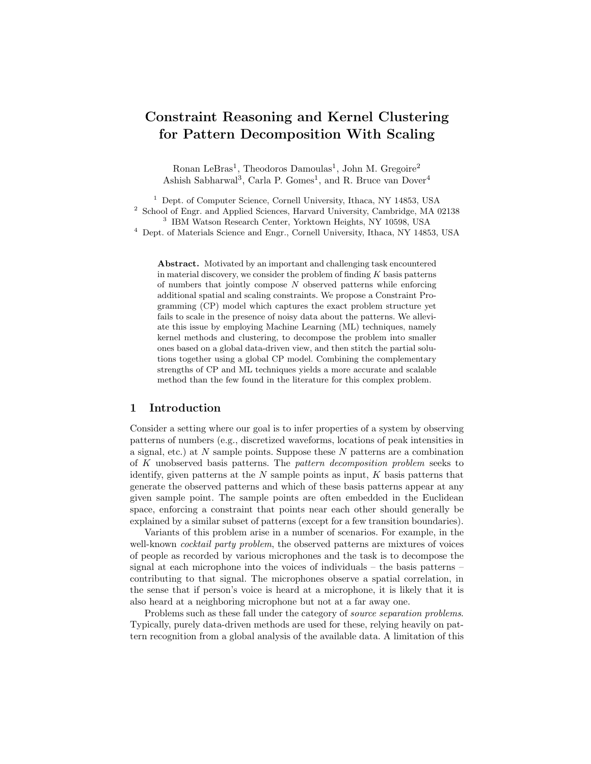# Constraint Reasoning and Kernel Clustering for Pattern Decomposition With Scaling

Ronan LeBras<sup>1</sup>, Theodoros Damoulas<sup>1</sup>, John M. Gregoire<sup>2</sup> Ashish Sabharwal<sup>3</sup>, Carla P. Gomes<sup>1</sup>, and R. Bruce van Dover<sup>4</sup>

<sup>1</sup> Dept. of Computer Science, Cornell University, Ithaca, NY 14853, USA School of Engr. and Applied Sciences, Harvard University, Cambridge, MA 02138 IBM Watson Research Center, Yorktown Heights, NY 10598, USA Dept. of Materials Science and Engr., Cornell University, Ithaca, NY 14853, USA

Abstract. Motivated by an important and challenging task encountered in material discovery, we consider the problem of finding  $K$  basis patterns of numbers that jointly compose  $N$  observed patterns while enforcing additional spatial and scaling constraints. We propose a Constraint Programming (CP) model which captures the exact problem structure yet fails to scale in the presence of noisy data about the patterns. We alleviate this issue by employing Machine Learning (ML) techniques, namely kernel methods and clustering, to decompose the problem into smaller ones based on a global data-driven view, and then stitch the partial solutions together using a global CP model. Combining the complementary strengths of CP and ML techniques yields a more accurate and scalable method than the few found in the literature for this complex problem.

## 1 Introduction

Consider a setting where our goal is to infer properties of a system by observing patterns of numbers (e.g., discretized waveforms, locations of peak intensities in a signal, etc.) at  $N$  sample points. Suppose these  $N$  patterns are a combination of K unobserved basis patterns. The pattern decomposition problem seeks to identify, given patterns at the  $N$  sample points as input,  $K$  basis patterns that generate the observed patterns and which of these basis patterns appear at any given sample point. The sample points are often embedded in the Euclidean space, enforcing a constraint that points near each other should generally be explained by a similar subset of patterns (except for a few transition boundaries).

Variants of this problem arise in a number of scenarios. For example, in the well-known *cocktail party problem*, the observed patterns are mixtures of voices of people as recorded by various microphones and the task is to decompose the signal at each microphone into the voices of individuals – the basis patterns – contributing to that signal. The microphones observe a spatial correlation, in the sense that if person's voice is heard at a microphone, it is likely that it is also heard at a neighboring microphone but not at a far away one.

Problems such as these fall under the category of source separation problems. Typically, purely data-driven methods are used for these, relying heavily on pattern recognition from a global analysis of the available data. A limitation of this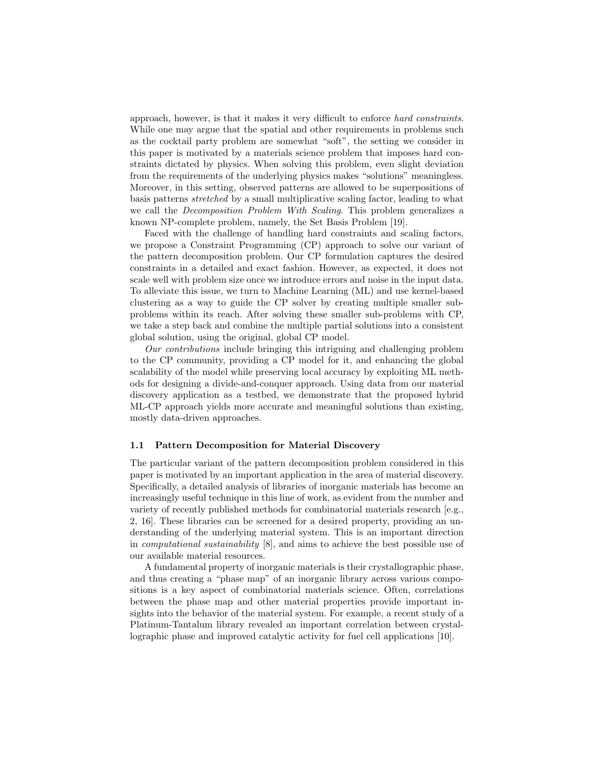approach, however, is that it makes it very difficult to enforce hard constraints. While one may argue that the spatial and other requirements in problems such as the cocktail party problem are somewhat "soft", the setting we consider in this paper is motivated by a materials science problem that imposes hard constraints dictated by physics. When solving this problem, even slight deviation from the requirements of the underlying physics makes "solutions" meaningless. Moreover, in this setting, observed patterns are allowed to be superpositions of basis patterns stretched by a small multiplicative scaling factor, leading to what we call the *Decomposition Problem With Scaling*. This problem generalizes a known NP-complete problem, namely, the Set Basis Problem [19].

Faced with the challenge of handling hard constraints and scaling factors, we propose a Constraint Programming (CP) approach to solve our variant of the pattern decomposition problem. Our CP formulation captures the desired constraints in a detailed and exact fashion. However, as expected, it does not scale well with problem size once we introduce errors and noise in the input data. To alleviate this issue, we turn to Machine Learning (ML) and use kernel-based clustering as a way to guide the CP solver by creating multiple smaller subproblems within its reach. After solving these smaller sub-problems with CP, we take a step back and combine the multiple partial solutions into a consistent global solution, using the original, global CP model.

Our contributions include bringing this intriguing and challenging problem to the CP community, providing a CP model for it, and enhancing the global scalability of the model while preserving local accuracy by exploiting ML methods for designing a divide-and-conquer approach. Using data from our material discovery application as a testbed, we demonstrate that the proposed hybrid ML-CP approach yields more accurate and meaningful solutions than existing, mostly data-driven approaches.

#### 1.1 Pattern Decomposition for Material Discovery

The particular variant of the pattern decomposition problem considered in this paper is motivated by an important application in the area of material discovery. Specifically, a detailed analysis of libraries of inorganic materials has become an increasingly useful technique in this line of work, as evident from the number and variety of recently published methods for combinatorial materials research [e.g., 2, 16]. These libraries can be screened for a desired property, providing an understanding of the underlying material system. This is an important direction in computational sustainability [8], and aims to achieve the best possible use of our available material resources.

A fundamental property of inorganic materials is their crystallographic phase, and thus creating a "phase map" of an inorganic library across various compositions is a key aspect of combinatorial materials science. Often, correlations between the phase map and other material properties provide important insights into the behavior of the material system. For example, a recent study of a Platinum-Tantalum library revealed an important correlation between crystallographic phase and improved catalytic activity for fuel cell applications [10].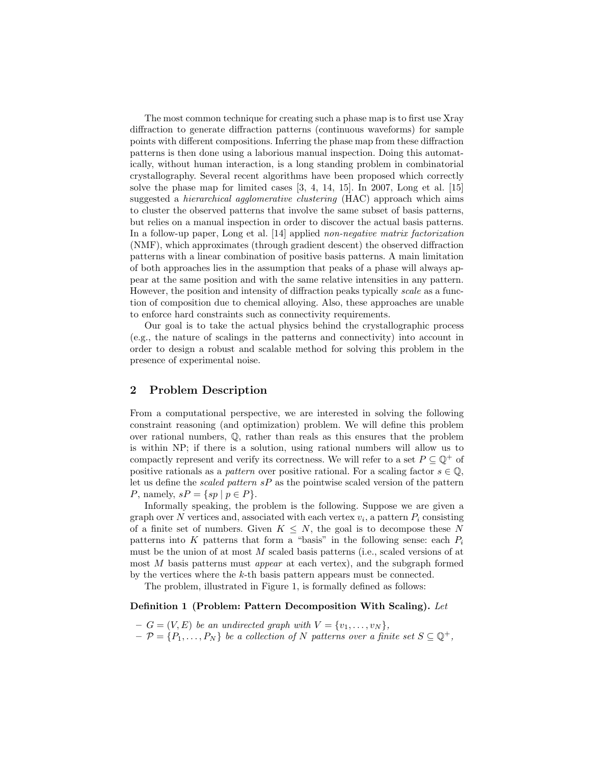The most common technique for creating such a phase map is to first use Xray diffraction to generate diffraction patterns (continuous waveforms) for sample points with different compositions. Inferring the phase map from these diffraction patterns is then done using a laborious manual inspection. Doing this automatically, without human interaction, is a long standing problem in combinatorial crystallography. Several recent algorithms have been proposed which correctly solve the phase map for limited cases [3, 4, 14, 15]. In 2007, Long et al. [15] suggested a *hierarchical agglomerative clustering* (HAC) approach which aims to cluster the observed patterns that involve the same subset of basis patterns, but relies on a manual inspection in order to discover the actual basis patterns. In a follow-up paper, Long et al. [14] applied non-negative matrix factorization (NMF), which approximates (through gradient descent) the observed diffraction patterns with a linear combination of positive basis patterns. A main limitation of both approaches lies in the assumption that peaks of a phase will always appear at the same position and with the same relative intensities in any pattern. However, the position and intensity of diffraction peaks typically scale as a function of composition due to chemical alloying. Also, these approaches are unable to enforce hard constraints such as connectivity requirements.

Our goal is to take the actual physics behind the crystallographic process (e.g., the nature of scalings in the patterns and connectivity) into account in order to design a robust and scalable method for solving this problem in the presence of experimental noise.

## 2 Problem Description

From a computational perspective, we are interested in solving the following constraint reasoning (and optimization) problem. We will define this problem over rational numbers,  $\mathbb{Q}$ , rather than reals as this ensures that the problem is within NP; if there is a solution, using rational numbers will allow us to compactly represent and verify its correctness. We will refer to a set  $P \subseteq \mathbb{Q}^+$  of positive rationals as a *pattern* over positive rational. For a scaling factor  $s \in \mathbb{Q}$ , let us define the *scaled pattern*  $sP$  as the pointwise scaled version of the pattern P, namely,  $sP = \{sp \mid p \in P\}.$ 

Informally speaking, the problem is the following. Suppose we are given a graph over N vertices and, associated with each vertex  $v_i$ , a pattern  $P_i$  consisting of a finite set of numbers. Given  $K \leq N$ , the goal is to decompose these N patterns into K patterns that form a "basis" in the following sense: each  $P_i$ must be the union of at most M scaled basis patterns (i.e., scaled versions of at most  $M$  basis patterns must *appear* at each vertex), and the subgraph formed by the vertices where the k-th basis pattern appears must be connected.

The problem, illustrated in Figure 1, is formally defined as follows:

#### Definition 1 (Problem: Pattern Decomposition With Scaling). Let

- $-G = (V, E)$  be an undirected graph with  $V = \{v_1, \ldots, v_N\},\$
- $-\mathcal{P} = \{P_1, \ldots, P_N\}$  be a collection of N patterns over a finite set  $S \subseteq \mathbb{Q}^+$ ,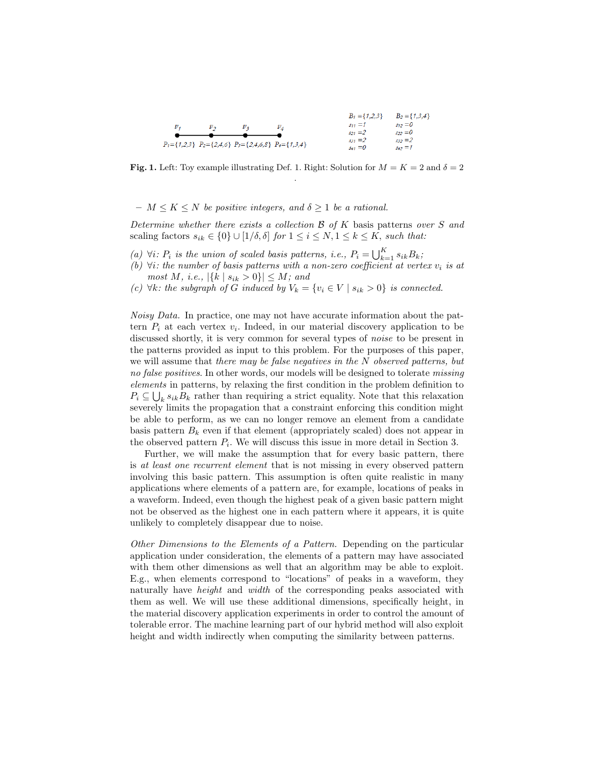|            |         |                |                                                                           | $B_1 = \{1,2,3\}$ | $B_2 = \{1,3,4\}$ |
|------------|---------|----------------|---------------------------------------------------------------------------|-------------------|-------------------|
| $v_{\tau}$ | $v_{2}$ | v <sub>z</sub> |                                                                           | $s_{11} = 7$      | $s_{12} = 0$      |
|            |         |                |                                                                           | $s_{21} = 2$      | $s_{22} = 0$      |
|            |         |                | $s_{31} = 2$                                                              | $s_{32} = 2$      |                   |
|            |         |                | $P_1 = \{1,2,3\}$ $P_2 = \{2,4,6\}$ $P_3 = \{2,4,6,8\}$ $P_4 = \{1,3,4\}$ | $s_{41} = 0$      | $s_{42} = 7$      |

**Fig. 1.** Left: Toy example illustrating Def. 1. Right: Solution for  $M = K = 2$  and  $\delta = 2$ .

 $- M \leq K \leq N$  be positive integers, and  $\delta \geq 1$  be a rational.

Determine whether there exists a collection  $\beta$  of K basis patterns over S and scaling factors  $s_{ik} \in \{0\} \cup [1/\delta, \delta]$  for  $1 \leq i \leq N, 1 \leq k \leq K$ , such that:

- (a)  $\forall i: P_i$  is the union of scaled basis patterns, i.e.,  $P_i = \bigcup_{k=1}^K s_{ik}B_k$ ;
- (b)  $\forall i$ : the number of basis patterns with a non-zero coefficient at vertex  $v_i$  is at  $most M, i.e., |\{k \mid s_{ik} > 0\}| \leq M; and$
- (c)  $\forall k$ : the subgraph of G induced by  $V_k = \{v_i \in V \mid s_{ik} > 0\}$  is connected.

Noisy Data. In practice, one may not have accurate information about the pattern  $P_i$  at each vertex  $v_i$ . Indeed, in our material discovery application to be discussed shortly, it is very common for several types of *noise* to be present in the patterns provided as input to this problem. For the purposes of this paper, we will assume that there may be false negatives in the N observed patterns, but no false positives. In other words, our models will be designed to tolerate missing elements in patterns, by relaxing the first condition in the problem definition to  $P_i \subseteq \bigcup_k s_{ik}B_k$  rather than requiring a strict equality. Note that this relaxation severely limits the propagation that a constraint enforcing this condition might be able to perform, as we can no longer remove an element from a candidate basis pattern  $B_k$  even if that element (appropriately scaled) does not appear in the observed pattern  $P_i$ . We will discuss this issue in more detail in Section 3.

Further, we will make the assumption that for every basic pattern, there is at least one recurrent element that is not missing in every observed pattern involving this basic pattern. This assumption is often quite realistic in many applications where elements of a pattern are, for example, locations of peaks in a waveform. Indeed, even though the highest peak of a given basic pattern might not be observed as the highest one in each pattern where it appears, it is quite unlikely to completely disappear due to noise.

Other Dimensions to the Elements of a Pattern. Depending on the particular application under consideration, the elements of a pattern may have associated with them other dimensions as well that an algorithm may be able to exploit. E.g., when elements correspond to "locations" of peaks in a waveform, they naturally have *height* and *width* of the corresponding peaks associated with them as well. We will use these additional dimensions, specifically height, in the material discovery application experiments in order to control the amount of tolerable error. The machine learning part of our hybrid method will also exploit height and width indirectly when computing the similarity between patterns.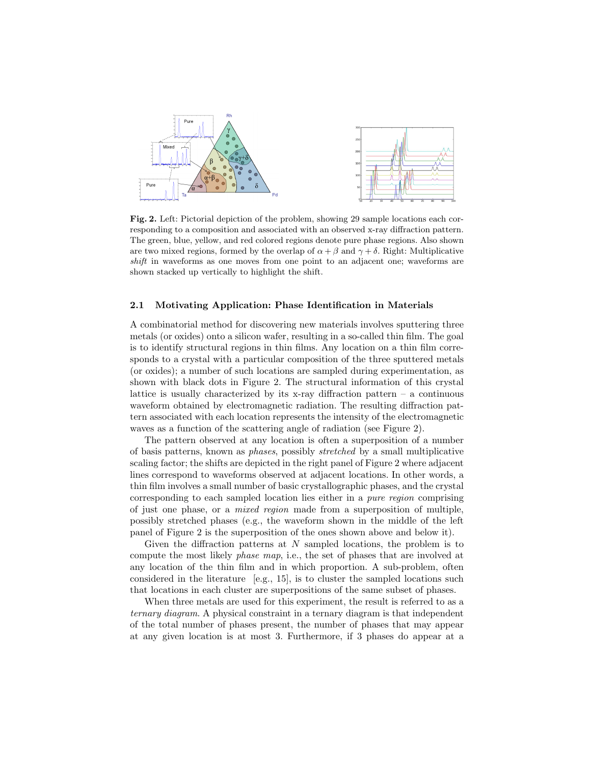

Fig. 2. Left: Pictorial depiction of the problem, showing 29 sample locations each corresponding to a composition and associated with an observed x-ray diffraction pattern. The green, blue, yellow, and red colored regions denote pure phase regions. Also shown are two mixed regions, formed by the overlap of  $\alpha + \beta$  and  $\gamma + \delta$ . Right: Multiplicative shift in waveforms as one moves from one point to an adjacent one; waveforms are shown stacked up vertically to highlight the shift.

#### 2.1 Motivating Application: Phase Identification in Materials

A combinatorial method for discovering new materials involves sputtering three metals (or oxides) onto a silicon wafer, resulting in a so-called thin film. The goal is to identify structural regions in thin films. Any location on a thin film corresponds to a crystal with a particular composition of the three sputtered metals (or oxides); a number of such locations are sampled during experimentation, as shown with black dots in Figure 2. The structural information of this crystal lattice is usually characterized by its x-ray diffraction pattern  $-$  a continuous waveform obtained by electromagnetic radiation. The resulting diffraction pattern associated with each location represents the intensity of the electromagnetic waves as a function of the scattering angle of radiation (see Figure 2).

The pattern observed at any location is often a superposition of a number of basis patterns, known as phases, possibly stretched by a small multiplicative scaling factor; the shifts are depicted in the right panel of Figure 2 where adjacent lines correspond to waveforms observed at adjacent locations. In other words, a thin film involves a small number of basic crystallographic phases, and the crystal corresponding to each sampled location lies either in a pure region comprising of just one phase, or a mixed region made from a superposition of multiple, possibly stretched phases (e.g., the waveform shown in the middle of the left panel of Figure 2 is the superposition of the ones shown above and below it).

Given the diffraction patterns at  $N$  sampled locations, the problem is to compute the most likely phase map, i.e., the set of phases that are involved at any location of the thin film and in which proportion. A sub-problem, often considered in the literature [e.g., 15], is to cluster the sampled locations such that locations in each cluster are superpositions of the same subset of phases.

When three metals are used for this experiment, the result is referred to as a ternary diagram. A physical constraint in a ternary diagram is that independent of the total number of phases present, the number of phases that may appear at any given location is at most 3. Furthermore, if 3 phases do appear at a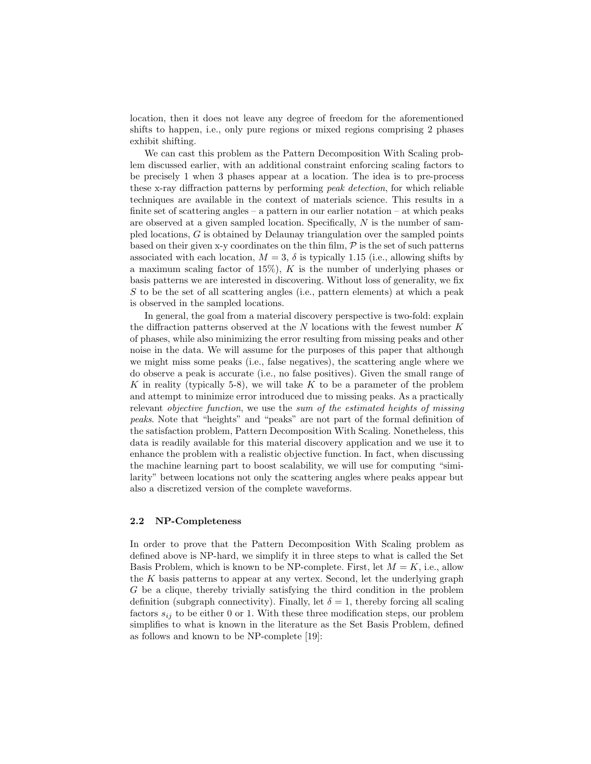location, then it does not leave any degree of freedom for the aforementioned shifts to happen, i.e., only pure regions or mixed regions comprising 2 phases exhibit shifting.

We can cast this problem as the Pattern Decomposition With Scaling problem discussed earlier, with an additional constraint enforcing scaling factors to be precisely 1 when 3 phases appear at a location. The idea is to pre-process these x-ray diffraction patterns by performing peak detection, for which reliable techniques are available in the context of materials science. This results in a finite set of scattering angles – a pattern in our earlier notation – at which peaks are observed at a given sampled location. Specifically, N is the number of sampled locations, G is obtained by Delaunay triangulation over the sampled points based on their given x-y coordinates on the thin film,  $\mathcal P$  is the set of such patterns associated with each location,  $M = 3$ ,  $\delta$  is typically 1.15 (i.e., allowing shifts by a maximum scaling factor of  $15\%$ ), K is the number of underlying phases or basis patterns we are interested in discovering. Without loss of generality, we fix S to be the set of all scattering angles (i.e., pattern elements) at which a peak is observed in the sampled locations.

In general, the goal from a material discovery perspective is two-fold: explain the diffraction patterns observed at the  $N$  locations with the fewest number  $K$ of phases, while also minimizing the error resulting from missing peaks and other noise in the data. We will assume for the purposes of this paper that although we might miss some peaks (i.e., false negatives), the scattering angle where we do observe a peak is accurate (i.e., no false positives). Given the small range of K in reality (typically 5-8), we will take  $K$  to be a parameter of the problem and attempt to minimize error introduced due to missing peaks. As a practically relevant objective function, we use the sum of the estimated heights of missing peaks. Note that "heights" and "peaks" are not part of the formal definition of the satisfaction problem, Pattern Decomposition With Scaling. Nonetheless, this data is readily available for this material discovery application and we use it to enhance the problem with a realistic objective function. In fact, when discussing the machine learning part to boost scalability, we will use for computing "similarity" between locations not only the scattering angles where peaks appear but also a discretized version of the complete waveforms.

#### 2.2 NP-Completeness

In order to prove that the Pattern Decomposition With Scaling problem as defined above is NP-hard, we simplify it in three steps to what is called the Set Basis Problem, which is known to be NP-complete. First, let  $M = K$ , i.e., allow the  $K$  basis patterns to appear at any vertex. Second, let the underlying graph G be a clique, thereby trivially satisfying the third condition in the problem definition (subgraph connectivity). Finally, let  $\delta = 1$ , thereby forcing all scaling factors  $s_{ij}$  to be either 0 or 1. With these three modification steps, our problem simplifies to what is known in the literature as the Set Basis Problem, defined as follows and known to be NP-complete [19]: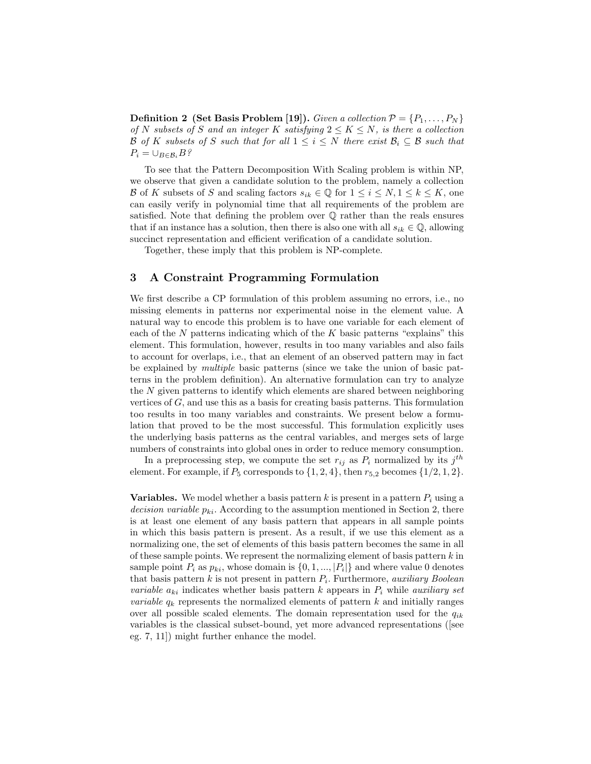**Definition 2** (Set Basis Problem [19]). Given a collection  $\mathcal{P} = \{P_1, \ldots, P_N\}$ of N subsets of S and an integer K satisfying  $2 \leq K \leq N$ , is there a collection B of K subsets of S such that for all  $1 \leq i \leq N$  there exist  $\mathcal{B}_i \subseteq \mathcal{B}$  such that  $P_i = \bigcup_{B \in \mathcal{B}_i} B$ ?

To see that the Pattern Decomposition With Scaling problem is within NP, we observe that given a candidate solution to the problem, namely a collection B of K subsets of S and scaling factors  $s_{ik} \in \mathbb{Q}$  for  $1 \le i \le N, 1 \le k \le K$ , one can easily verify in polynomial time that all requirements of the problem are satisfied. Note that defining the problem over Q rather than the reals ensures that if an instance has a solution, then there is also one with all  $s_{ik} \in \mathbb{Q}$ , allowing succinct representation and efficient verification of a candidate solution.

Together, these imply that this problem is NP-complete.

## 3 A Constraint Programming Formulation

We first describe a CP formulation of this problem assuming no errors, i.e., no missing elements in patterns nor experimental noise in the element value. A natural way to encode this problem is to have one variable for each element of each of the  $N$  patterns indicating which of the  $K$  basic patterns "explains" this element. This formulation, however, results in too many variables and also fails to account for overlaps, i.e., that an element of an observed pattern may in fact be explained by multiple basic patterns (since we take the union of basic patterns in the problem definition). An alternative formulation can try to analyze the  $N$  given patterns to identify which elements are shared between neighboring vertices of  $G$ , and use this as a basis for creating basis patterns. This formulation too results in too many variables and constraints. We present below a formulation that proved to be the most successful. This formulation explicitly uses the underlying basis patterns as the central variables, and merges sets of large numbers of constraints into global ones in order to reduce memory consumption.

In a preprocessing step, we compute the set  $r_{ij}$  as  $P_i$  normalized by its  $j^{th}$ element. For example, if  $P_5$  corresponds to  $\{1, 2, 4\}$ , then  $r_{5,2}$  becomes  $\{1/2, 1, 2\}$ .

**Variables.** We model whether a basis pattern k is present in a pattern  $P_i$  using a decision variable  $p_{ki}$ . According to the assumption mentioned in Section 2, there is at least one element of any basis pattern that appears in all sample points in which this basis pattern is present. As a result, if we use this element as a normalizing one, the set of elements of this basis pattern becomes the same in all of these sample points. We represent the normalizing element of basis pattern  $k$  in sample point  $P_i$  as  $p_{ki}$ , whose domain is  $\{0, 1, ..., |P_i|\}$  and where value 0 denotes that basis pattern  $k$  is not present in pattern  $P_i$ . Furthermore, *auxiliary Boolean variable*  $a_{ki}$  indicates whether basis pattern k appears in  $P_i$  while *auxiliary set variable*  $q_k$  represents the normalized elements of pattern k and initially ranges over all possible scaled elements. The domain representation used for the  $q_{ik}$ variables is the classical subset-bound, yet more advanced representations ([see eg. 7, 11]) might further enhance the model.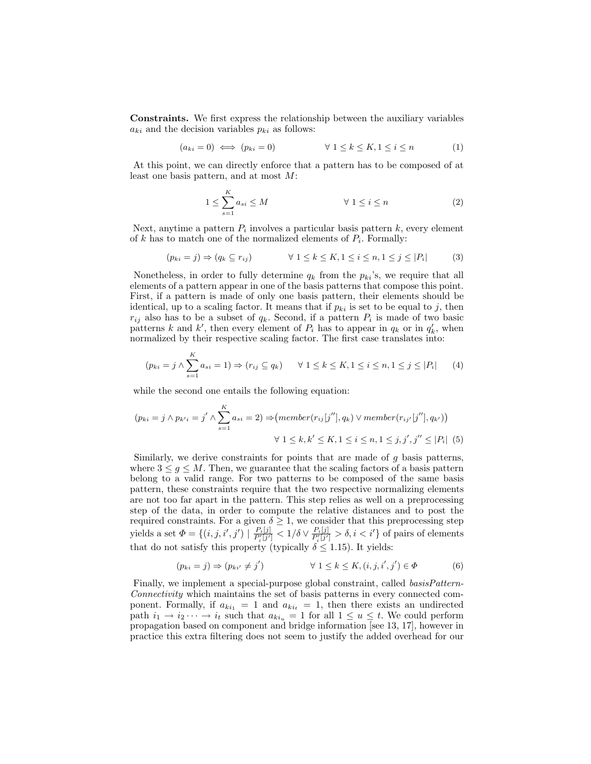Constraints. We first express the relationship between the auxiliary variables  $a_{ki}$  and the decision variables  $p_{ki}$  as follows:

$$
(a_{ki} = 0) \iff (p_{ki} = 0) \qquad \forall 1 \le k \le K, 1 \le i \le n \qquad (1)
$$

At this point, we can directly enforce that a pattern has to be composed of at least one basis pattern, and at most M:

$$
1 \le \sum_{s=1}^{K} a_{si} \le M \qquad \forall 1 \le i \le n \tag{2}
$$

Next, anytime a pattern  $P_i$  involves a particular basis pattern  $k$ , every element of  $k$  has to match one of the normalized elements of  $P_i$ . Formally:

$$
(p_{ki} = j) \Rightarrow (q_k \subseteq r_{ij}) \qquad \forall 1 \le k \le K, 1 \le i \le n, 1 \le j \le |P_i| \qquad (3)
$$

Nonetheless, in order to fully determine  $q_k$  from the  $p_{ki}$ 's, we require that all elements of a pattern appear in one of the basis patterns that compose this point. First, if a pattern is made of only one basis pattern, their elements should be identical, up to a scaling factor. It means that if  $p_{ki}$  is set to be equal to j, then  $r_{ij}$  also has to be a subset of  $q_k$ . Second, if a pattern  $P_i$  is made of two basic patterns k and k', then every element of  $P_i$  has to appear in  $q_k$  or in  $q'_k$ , when normalized by their respective scaling factor. The first case translates into:

$$
(p_{ki} = j \land \sum_{s=1}^{K} a_{si} = 1) \Rightarrow (r_{ij} \subseteq q_k) \qquad \forall \ 1 \leq k \leq K, 1 \leq i \leq n, 1 \leq j \leq |P_i| \qquad (4)
$$

while the second one entails the following equation:

$$
(p_{ki} = j \land p_{k'i} = j' \land \sum_{s=1}^{K} a_{si} = 2) \Rightarrow (member(r_{ij}[j''], q_k) \lor member(r_{ij'}[j''], q_{k'}))
$$
  

$$
\forall 1 \le k, k' \le K, 1 \le i \le n, 1 \le j, j', j'' \le |P_i| (5)
$$

Similarly, we derive constraints for points that are made of  $q$  basis patterns, where  $3 \leq g \leq M$ . Then, we guarantee that the scaling factors of a basis pattern belong to a valid range. For two patterns to be composed of the same basis pattern, these constraints require that the two respective normalizing elements are not too far apart in the pattern. This step relies as well on a preprocessing step of the data, in order to compute the relative distances and to post the required constraints. For a given  $\delta \geq 1$ , we consider that this preprocessing step yields a set  $\Phi = \{(i, j, i', j') \mid \frac{P_i[j]}{P'_i[j']} < 1/\delta \vee \frac{P_i[j]}{P'_i[j']} > \delta, i < i'\}$  of pairs of elements that do not satisfy this property (typically  $\delta \leq 1.15$ ). It yields:

$$
(p_{ki} = j) \Rightarrow (p_{ki'} \neq j') \qquad \forall 1 \leq k \leq K, (i, j, i', j') \in \Phi
$$
 (6)

Finally, we implement a special-purpose global constraint, called basisPattern-Connectivity which maintains the set of basis patterns in every connected component. Formally, if  $a_{ki_1} = 1$  and  $a_{ki_t} = 1$ , then there exists an undirected path  $i_1 \rightarrow i_2 \cdots \rightarrow i_t$  such that  $a_{ki_u} = 1$  for all  $1 \le u \le t$ . We could perform propagation based on component and bridge information [see 13, 17], however in practice this extra filtering does not seem to justify the added overhead for our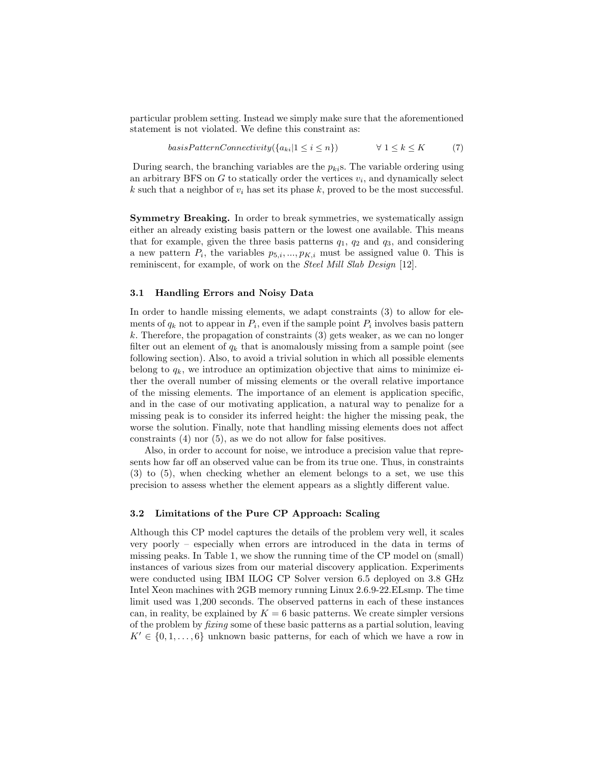particular problem setting. Instead we simply make sure that the aforementioned statement is not violated. We define this constraint as:

$$
basisPatternConnectivity(\{a_{ki}|1 \le i \le n\}) \qquad \forall 1 \le k \le K \qquad (7)
$$

During search, the branching variables are the  $p_{ki}$ s. The variable ordering using an arbitrary BFS on  $G$  to statically order the vertices  $v_i$ , and dynamically select k such that a neighbor of  $v_i$  has set its phase k, proved to be the most successful.

Symmetry Breaking. In order to break symmetries, we systematically assign either an already existing basis pattern or the lowest one available. This means that for example, given the three basis patterns  $q_1$ ,  $q_2$  and  $q_3$ , and considering a new pattern  $P_i$ , the variables  $p_{5,i},...,p_{K,i}$  must be assigned value 0. This is reminiscent, for example, of work on the *Steel Mill Slab Design* [12].

#### 3.1 Handling Errors and Noisy Data

In order to handle missing elements, we adapt constraints (3) to allow for elements of  $q_k$  not to appear in  $P_i$ , even if the sample point  $P_i$  involves basis pattern k. Therefore, the propagation of constraints (3) gets weaker, as we can no longer filter out an element of  $q_k$  that is anomalously missing from a sample point (see following section). Also, to avoid a trivial solution in which all possible elements belong to  $q_k$ , we introduce an optimization objective that aims to minimize either the overall number of missing elements or the overall relative importance of the missing elements. The importance of an element is application specific, and in the case of our motivating application, a natural way to penalize for a missing peak is to consider its inferred height: the higher the missing peak, the worse the solution. Finally, note that handling missing elements does not affect constraints (4) nor (5), as we do not allow for false positives.

Also, in order to account for noise, we introduce a precision value that represents how far off an observed value can be from its true one. Thus, in constraints (3) to (5), when checking whether an element belongs to a set, we use this precision to assess whether the element appears as a slightly different value.

#### 3.2 Limitations of the Pure CP Approach: Scaling

Although this CP model captures the details of the problem very well, it scales very poorly – especially when errors are introduced in the data in terms of missing peaks. In Table 1, we show the running time of the CP model on (small) instances of various sizes from our material discovery application. Experiments were conducted using IBM ILOG CP Solver version 6.5 deployed on 3.8 GHz Intel Xeon machines with 2GB memory running Linux 2.6.9-22.ELsmp. The time limit used was 1,200 seconds. The observed patterns in each of these instances can, in reality, be explained by  $K = 6$  basic patterns. We create simpler versions of the problem by fixing some of these basic patterns as a partial solution, leaving  $K' \in \{0, 1, \ldots, 6\}$  unknown basic patterns, for each of which we have a row in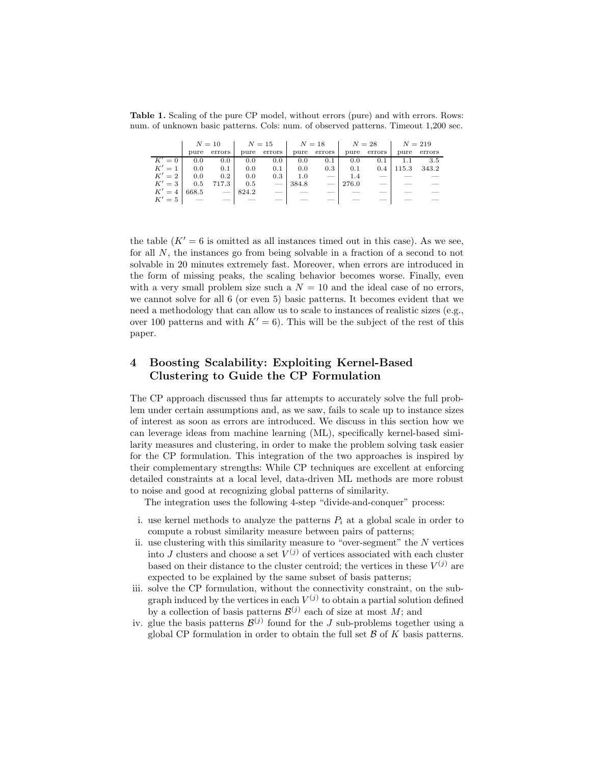Table 1. Scaling of the pure CP model, without errors (pure) and with errors. Rows: num. of unknown basic patterns. Cols: num. of observed patterns. Timeout 1,200 sec.

|          | $N=10$ |                          | $N=15$ |        | $N=18$ |                          | $N=28$ |        | $N = 219$ |        |
|----------|--------|--------------------------|--------|--------|--------|--------------------------|--------|--------|-----------|--------|
|          | pure   | errors                   | pure   | errors | pure   | errors                   | pure   | errors | pure      | errors |
| $K'=0$   | 0.0    | 0.0                      | 0.0    | 0.0    | 0.0    | 0.1                      | 0.0    | 0.1    |           | 3.5    |
| $K'=1$   | 0.0    | 0.1                      | 0.0    | 0.1    | 0.0    | 0.3                      | 0.1    | 0.4    | 115.3     | 343.2  |
| $K'=2$   | 0.0    | 0.2                      | 0.0    | 0.3    | 1.0    | $\sim$                   | 1.4    | -      |           |        |
| $K'=3$   | 0.5    | 717.3                    | 0.5    |        | 384.8  | $\overline{\phantom{a}}$ | 276.0  | --     |           |        |
| $K'=4$   | 668.5  | $\overline{\phantom{a}}$ | 824.2  | ___    |        | _                        |        | --     |           |        |
| $K' = 5$ |        |                          |        |        |        | _                        |        | --     |           |        |

the table  $(K' = 6$  is omitted as all instances timed out in this case). As we see, for all N, the instances go from being solvable in a fraction of a second to not solvable in 20 minutes extremely fast. Moreover, when errors are introduced in the form of missing peaks, the scaling behavior becomes worse. Finally, even with a very small problem size such a  $N = 10$  and the ideal case of no errors, we cannot solve for all 6 (or even 5) basic patterns. It becomes evident that we need a methodology that can allow us to scale to instances of realistic sizes (e.g., over 100 patterns and with  $K' = 6$ ). This will be the subject of the rest of this paper.

## 4 Boosting Scalability: Exploiting Kernel-Based Clustering to Guide the CP Formulation

The CP approach discussed thus far attempts to accurately solve the full problem under certain assumptions and, as we saw, fails to scale up to instance sizes of interest as soon as errors are introduced. We discuss in this section how we can leverage ideas from machine learning (ML), specifically kernel-based similarity measures and clustering, in order to make the problem solving task easier for the CP formulation. This integration of the two approaches is inspired by their complementary strengths: While CP techniques are excellent at enforcing detailed constraints at a local level, data-driven ML methods are more robust to noise and good at recognizing global patterns of similarity.

The integration uses the following 4-step "divide-and-conquer" process:

- i. use kernel methods to analyze the patterns  $P_i$  at a global scale in order to compute a robust similarity measure between pairs of patterns;
- ii. use clustering with this similarity measure to "over-segment" the  $N$  vertices into J clusters and choose a set  $V^{(j)}$  of vertices associated with each cluster based on their distance to the cluster centroid; the vertices in these  $V^{(j)}$  are expected to be explained by the same subset of basis patterns;
- iii. solve the CP formulation, without the connectivity constraint, on the subgraph induced by the vertices in each  $V^{(j)}$  to obtain a partial solution defined by a collection of basis patterns  $\mathcal{B}^{(j)}$  each of size at most M; and
- iv. glue the basis patterns  $\mathcal{B}^{(j)}$  found for the J sub-problems together using a global CP formulation in order to obtain the full set  $\beta$  of K basis patterns.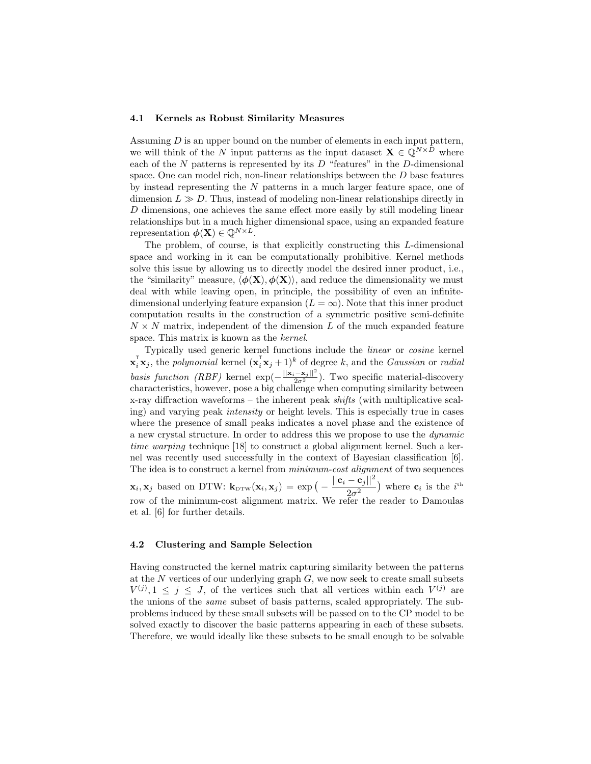#### 4.1 Kernels as Robust Similarity Measures

Assuming  $D$  is an upper bound on the number of elements in each input pattern, we will think of the N input patterns as the input dataset  $\mathbf{X} \in \mathbb{Q}^{N \times D}$  where each of the  $N$  patterns is represented by its  $D$  "features" in the  $D$ -dimensional space. One can model rich, non-linear relationships between the  $D$  base features by instead representing the  $N$  patterns in a much larger feature space, one of dimension  $L \gg D$ . Thus, instead of modeling non-linear relationships directly in D dimensions, one achieves the same effect more easily by still modeling linear relationships but in a much higher dimensional space, using an expanded feature representation  $\phi(\mathbf{X}) \in \mathbb{Q}^{N \times L}$ .

The problem, of course, is that explicitly constructing this L-dimensional space and working in it can be computationally prohibitive. Kernel methods solve this issue by allowing us to directly model the desired inner product, i.e., the "similarity" measure,  $\langle \phi(\mathbf{X}), \phi(\mathbf{X}) \rangle$ , and reduce the dimensionality we must deal with while leaving open, in principle, the possibility of even an infinitedimensional underlying feature expansion ( $L = \infty$ ). Note that this inner product computation results in the construction of a symmetric positive semi-definite  $N \times N$  matrix, independent of the dimension L of the much expanded feature space. This matrix is known as the *kernel*.

Typically used generic kernel functions include the linear or cosine kernel  $\mathbf{x}_i^{\mathsf{T}} \mathbf{x}_j$ , the polynomial kernel  $(\mathbf{x}_i^{\mathsf{T}} \mathbf{x}_j + 1)^k$  of degree k, and the *Gaussian* or *radial* basis function (RBF) kernel  $\exp(-\frac{||\mathbf{x}_i - \mathbf{x}_j||^2}{2\sigma^2})$ . Two specific material-discovery characteristics, however, pose a big challenge when computing similarity between x-ray diffraction waveforms – the inherent peak shifts (with multiplicative scaling) and varying peak intensity or height levels. This is especially true in cases where the presence of small peaks indicates a novel phase and the existence of a new crystal structure. In order to address this we propose to use the dynamic time warping technique [18] to construct a global alignment kernel. Such a kernel was recently used successfully in the context of Bayesian classification [6]. The idea is to construct a kernel from minimum-cost alignment of two sequences

 $\mathbf{x}_i, \mathbf{x}_j$  based on DTW:  $\mathbf{k}_{\text{DTW}}(\mathbf{x}_i, \mathbf{x}_j) = \exp\big(-\frac{||\mathbf{c}_i - \mathbf{c}_j||^2}{2\sigma^2}\big)$  $\frac{c_{j||}}{2\sigma^2}$ ) where  $c_i$  is the *i*<sup>th</sup> row of the minimum-cost alignment matrix. We refer the reader to Damoulas et al. [6] for further details.

#### 4.2 Clustering and Sample Selection

Having constructed the kernel matrix capturing similarity between the patterns at the  $N$  vertices of our underlying graph  $G$ , we now seek to create small subsets  $V^{(j)}$ ,  $1 \leq j \leq J$ , of the vertices such that all vertices within each  $V^{(j)}$  are the unions of the same subset of basis patterns, scaled appropriately. The subproblems induced by these small subsets will be passed on to the CP model to be solved exactly to discover the basic patterns appearing in each of these subsets. Therefore, we would ideally like these subsets to be small enough to be solvable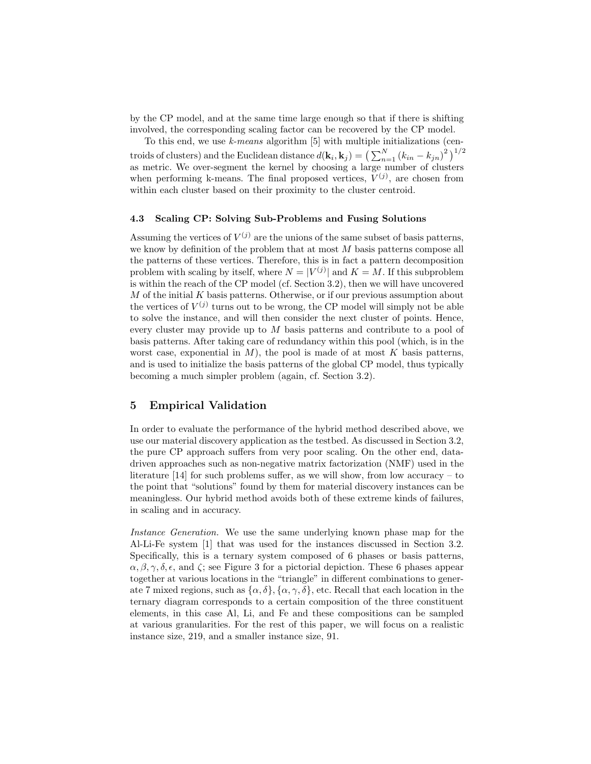by the CP model, and at the same time large enough so that if there is shifting involved, the corresponding scaling factor can be recovered by the CP model.

To this end, we use k-means algorithm [5] with multiple initializations (centroids of clusters) and the Euclidean distance  $d(\mathbf{k}_i, \mathbf{k}_j) = \left(\sum_{n=1}^{N} (k_{in} - k_{jn})^2\right)^{1/2}$ as metric. We over-segment the kernel by choosing a large number of clusters when performing k-means. The final proposed vertices,  $V^{(j)}$ , are chosen from within each cluster based on their proximity to the cluster centroid.

### 4.3 Scaling CP: Solving Sub-Problems and Fusing Solutions

Assuming the vertices of  $V^{(j)}$  are the unions of the same subset of basis patterns, we know by definition of the problem that at most  $M$  basis patterns compose all the patterns of these vertices. Therefore, this is in fact a pattern decomposition problem with scaling by itself, where  $N = |V^{(j)}|$  and  $K = M$ . If this subproblem is within the reach of the CP model (cf. Section 3.2), then we will have uncovered M of the initial K basis patterns. Otherwise, or if our previous assumption about the vertices of  $V^{(j)}$  turns out to be wrong, the CP model will simply not be able to solve the instance, and will then consider the next cluster of points. Hence, every cluster may provide up to M basis patterns and contribute to a pool of basis patterns. After taking care of redundancy within this pool (which, is in the worst case, exponential in  $M$ ), the pool is made of at most K basis patterns, and is used to initialize the basis patterns of the global CP model, thus typically becoming a much simpler problem (again, cf. Section 3.2).

## 5 Empirical Validation

In order to evaluate the performance of the hybrid method described above, we use our material discovery application as the testbed. As discussed in Section 3.2, the pure CP approach suffers from very poor scaling. On the other end, datadriven approaches such as non-negative matrix factorization (NMF) used in the literature  $[14]$  for such problems suffer, as we will show, from low accuracy – to the point that "solutions" found by them for material discovery instances can be meaningless. Our hybrid method avoids both of these extreme kinds of failures, in scaling and in accuracy.

Instance Generation. We use the same underlying known phase map for the Al-Li-Fe system [1] that was used for the instances discussed in Section 3.2. Specifically, this is a ternary system composed of 6 phases or basis patterns,  $\alpha, \beta, \gamma, \delta, \epsilon$ , and  $\zeta$ ; see Figure 3 for a pictorial depiction. These 6 phases appear together at various locations in the "triangle" in different combinations to generate 7 mixed regions, such as  $\{\alpha, \delta\}, \{\alpha, \gamma, \delta\}$ , etc. Recall that each location in the ternary diagram corresponds to a certain composition of the three constituent elements, in this case Al, Li, and Fe and these compositions can be sampled at various granularities. For the rest of this paper, we will focus on a realistic instance size, 219, and a smaller instance size, 91.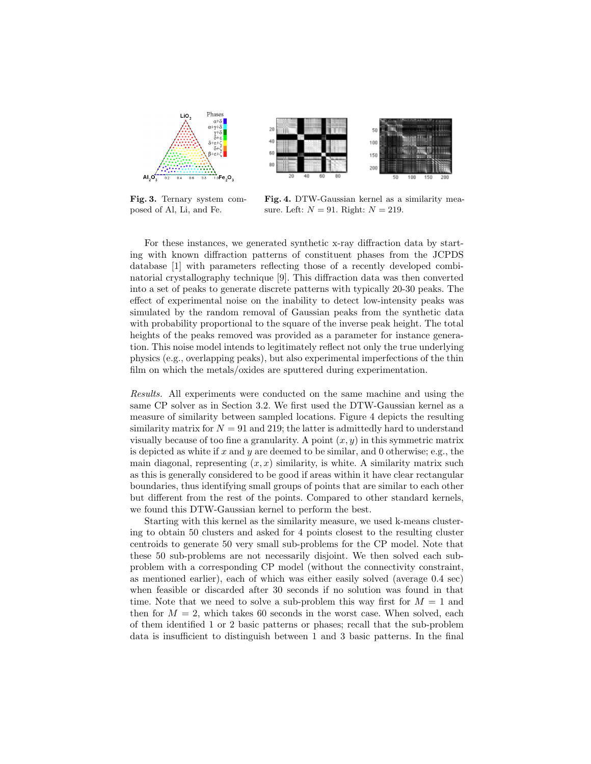

Fig. 3. Ternary system composed of Al, Li, and Fe.

Fig. 4. DTW-Gaussian kernel as a similarity measure. Left:  $N = 91$ . Right:  $N = 219$ .

For these instances, we generated synthetic x-ray diffraction data by starting with known diffraction patterns of constituent phases from the JCPDS database [1] with parameters reflecting those of a recently developed combinatorial crystallography technique [9]. This diffraction data was then converted into a set of peaks to generate discrete patterns with typically 20-30 peaks. The effect of experimental noise on the inability to detect low-intensity peaks was simulated by the random removal of Gaussian peaks from the synthetic data with probability proportional to the square of the inverse peak height. The total heights of the peaks removed was provided as a parameter for instance generation. This noise model intends to legitimately reflect not only the true underlying physics (e.g., overlapping peaks), but also experimental imperfections of the thin film on which the metals/oxides are sputtered during experimentation.

Results. All experiments were conducted on the same machine and using the same CP solver as in Section 3.2. We first used the DTW-Gaussian kernel as a measure of similarity between sampled locations. Figure 4 depicts the resulting similarity matrix for  $N = 91$  and 219; the latter is admittedly hard to understand visually because of too fine a granularity. A point  $(x, y)$  in this symmetric matrix is depicted as white if  $x$  and  $y$  are deemed to be similar, and 0 otherwise; e.g., the main diagonal, representing  $(x, x)$  similarity, is white. A similarity matrix such as this is generally considered to be good if areas within it have clear rectangular boundaries, thus identifying small groups of points that are similar to each other but different from the rest of the points. Compared to other standard kernels, we found this DTW-Gaussian kernel to perform the best.

Starting with this kernel as the similarity measure, we used k-means clustering to obtain 50 clusters and asked for 4 points closest to the resulting cluster centroids to generate 50 very small sub-problems for the CP model. Note that these 50 sub-problems are not necessarily disjoint. We then solved each subproblem with a corresponding CP model (without the connectivity constraint, as mentioned earlier), each of which was either easily solved (average 0.4 sec) when feasible or discarded after 30 seconds if no solution was found in that time. Note that we need to solve a sub-problem this way first for  $M = 1$  and then for  $M = 2$ , which takes 60 seconds in the worst case. When solved, each of them identified 1 or 2 basic patterns or phases; recall that the sub-problem data is insufficient to distinguish between 1 and 3 basic patterns. In the final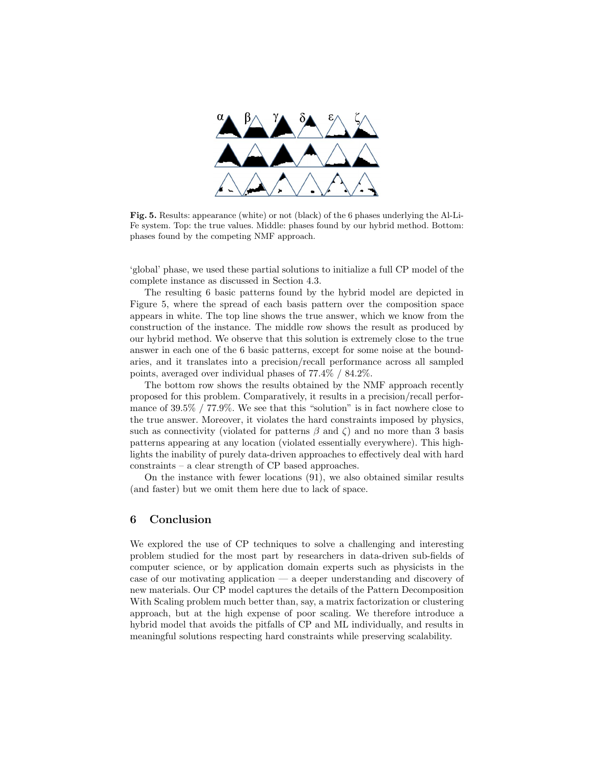

Fig. 5. Results: appearance (white) or not (black) of the 6 phases underlying the Al-Li-Fe system. Top: the true values. Middle: phases found by our hybrid method. Bottom: phases found by the competing NMF approach.

'global' phase, we used these partial solutions to initialize a full CP model of the complete instance as discussed in Section 4.3.

The resulting 6 basic patterns found by the hybrid model are depicted in Figure 5, where the spread of each basis pattern over the composition space appears in white. The top line shows the true answer, which we know from the construction of the instance. The middle row shows the result as produced by our hybrid method. We observe that this solution is extremely close to the true answer in each one of the 6 basic patterns, except for some noise at the boundaries, and it translates into a precision/recall performance across all sampled points, averaged over individual phases of 77.4% / 84.2%.

The bottom row shows the results obtained by the NMF approach recently proposed for this problem. Comparatively, it results in a precision/recall performance of 39.5% / 77.9%. We see that this "solution" is in fact nowhere close to the true answer. Moreover, it violates the hard constraints imposed by physics, such as connectivity (violated for patterns  $\beta$  and  $\zeta$ ) and no more than 3 basis patterns appearing at any location (violated essentially everywhere). This highlights the inability of purely data-driven approaches to effectively deal with hard constraints – a clear strength of CP based approaches.

On the instance with fewer locations (91), we also obtained similar results (and faster) but we omit them here due to lack of space.

## 6 Conclusion

We explored the use of CP techniques to solve a challenging and interesting problem studied for the most part by researchers in data-driven sub-fields of computer science, or by application domain experts such as physicists in the case of our motivating application — a deeper understanding and discovery of new materials. Our CP model captures the details of the Pattern Decomposition With Scaling problem much better than, say, a matrix factorization or clustering approach, but at the high expense of poor scaling. We therefore introduce a hybrid model that avoids the pitfalls of CP and ML individually, and results in meaningful solutions respecting hard constraints while preserving scalability.